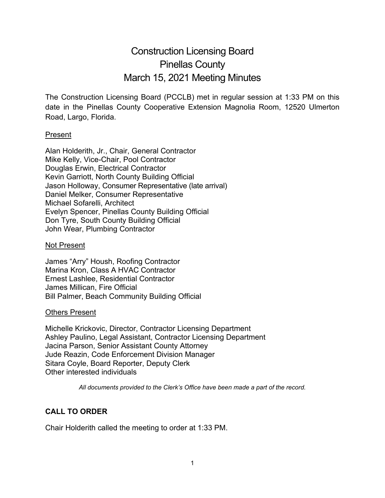# Construction Licensing Board Pinellas County March 15, 2021 Meeting Minutes

The Construction Licensing Board (PCCLB) met in regular session at 1:33 PM on this date in the Pinellas County Cooperative Extension Magnolia Room, 12520 Ulmerton Road, Largo, Florida.

#### Present

Alan Holderith, Jr., Chair, General Contractor Mike Kelly, Vice-Chair, Pool Contractor Douglas Erwin, Electrical Contractor Kevin Garriott, North County Building Official Jason Holloway, Consumer Representative (late arrival) Daniel Melker, Consumer Representative Michael Sofarelli, Architect Evelyn Spencer, Pinellas County Building Official Don Tyre, South County Building Official John Wear, Plumbing Contractor

#### Not Present

James "Arry" Housh, Roofing Contractor Marina Kron, Class A HVAC Contractor Ernest Lashlee, Residential Contractor James Millican, Fire Official Bill Palmer, Beach Community Building Official

#### Others Present

Michelle Krickovic, Director, Contractor Licensing Department Ashley Paulino, Legal Assistant, Contractor Licensing Department Jacina Parson, Senior Assistant County Attorney Jude Reazin, Code Enforcement Division Manager Sitara Coyle, Board Reporter, Deputy Clerk Other interested individuals

*All documents provided to the Clerk's Office have been made a part of the record.*

# **CALL TO ORDER**

Chair Holderith called the meeting to order at 1:33 PM.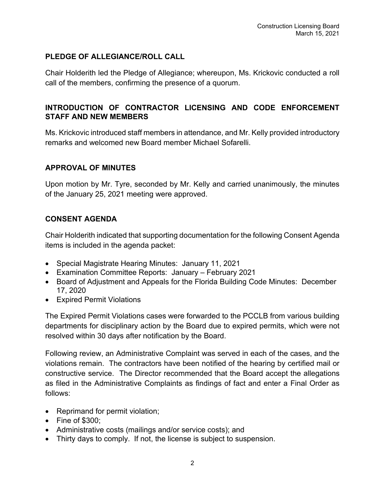# **PLEDGE OF ALLEGIANCE/ROLL CALL**

Chair Holderith led the Pledge of Allegiance; whereupon, Ms. Krickovic conducted a roll call of the members, confirming the presence of a quorum.

# **INTRODUCTION OF CONTRACTOR LICENSING AND CODE ENFORCEMENT STAFF AND NEW MEMBERS**

Ms. Krickovic introduced staff members in attendance, and Mr. Kelly provided introductory remarks and welcomed new Board member Michael Sofarelli.

## **APPROVAL OF MINUTES**

Upon motion by Mr. Tyre, seconded by Mr. Kelly and carried unanimously, the minutes of the January 25, 2021 meeting were approved.

# **CONSENT AGENDA**

Chair Holderith indicated that supporting documentation for the following Consent Agenda items is included in the agenda packet:

- Special Magistrate Hearing Minutes: January 11, 2021
- Examination Committee Reports: January February 2021
- Board of Adjustment and Appeals for the Florida Building Code Minutes: December 17, 2020
- Expired Permit Violations

The Expired Permit Violations cases were forwarded to the PCCLB from various building departments for disciplinary action by the Board due to expired permits, which were not resolved within 30 days after notification by the Board.

Following review, an Administrative Complaint was served in each of the cases, and the violations remain. The contractors have been notified of the hearing by certified mail or constructive service. The Director recommended that the Board accept the allegations as filed in the Administrative Complaints as findings of fact and enter a Final Order as follows:

- Reprimand for permit violation;
- Fine of \$300;
- Administrative costs (mailings and/or service costs); and
- Thirty days to comply. If not, the license is subject to suspension.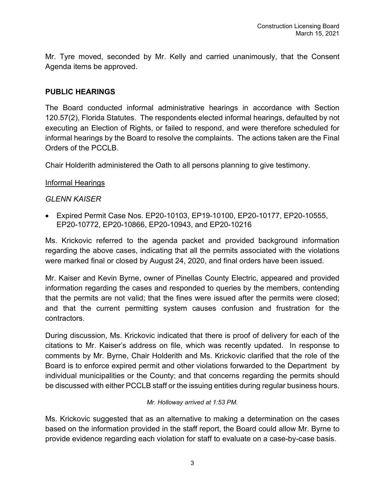Mr. Tyre moved, seconded by Mr. Kelly and carried unanimously, that the Consent Agenda items be approved.

## **PUBLIC HEARINGS**

The Board conducted informal administrative hearings in accordance with Section 120.57(2), Florida Statutes. The respondents elected informal hearings, defaulted by not executing an Election of Rights, or failed to respond, and were therefore scheduled for informal hearings by the Board to resolve the complaints. The actions taken are the Final Orders of the PCCLB.

Chair Holderith administered the Oath to all persons planning to give testimony.

## Informal Hearings

## *GLENN KAISER*

• Expired Permit Case Nos. EP20-10103, EP19-10100, EP20-10177, EP20-10555, EP20-10772, EP20-10866, EP20-10943, and EP20-10216

Ms. Krickovic referred to the agenda packet and provided background information regarding the above cases, indicating that all the permits associated with the violations were marked final or closed by August 24, 2020, and final orders have been issued.

Mr. Kaiser and Kevin Byrne, owner of Pinellas County Electric, appeared and provided information regarding the cases and responded to queries by the members, contending that the permits are not valid; that the fines were issued after the permits were closed; and that the current permitting system causes confusion and frustration for the contractors.

During discussion, Ms. Krickovic indicated that there is proof of delivery for each of the citations to Mr. Kaiser's address on file, which was recently updated. In response to comments by Mr. Byrne, Chair Holderith and Ms. Krickovic clarified that the role of the Board is to enforce expired permit and other violations forwarded to the Department by individual municipalities or the County; and that concerns regarding the permits should be discussed with either PCCLB staff or the issuing entities during regular business hours.

#### *Mr. Holloway arrived at 1:53 PM.*

Ms. Krickovic suggested that as an alternative to making a determination on the cases based on the information provided in the staff report, the Board could allow Mr. Byrne to provide evidence regarding each violation for staff to evaluate on a case-by-case basis.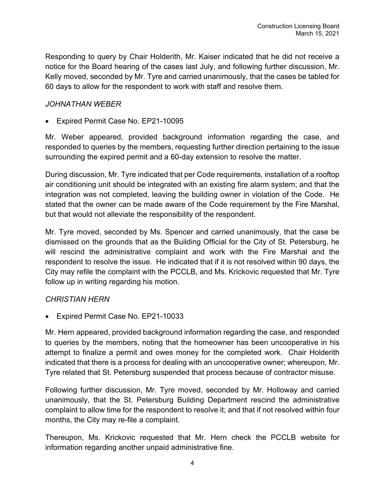Responding to query by Chair Holderith, Mr. Kaiser indicated that he did not receive a notice for the Board hearing of the cases last July, and following further discussion, Mr. Kelly moved, seconded by Mr. Tyre and carried unanimously, that the cases be tabled for 60 days to allow for the respondent to work with staff and resolve them.

## *JOHNATHAN WEBER*

• Expired Permit Case No. EP21-10095

Mr. Weber appeared, provided background information regarding the case, and responded to queries by the members, requesting further direction pertaining to the issue surrounding the expired permit and a 60-day extension to resolve the matter.

During discussion, Mr. Tyre indicated that per Code requirements, installation of a rooftop air conditioning unit should be integrated with an existing fire alarm system; and that the integration was not completed, leaving the building owner in violation of the Code. He stated that the owner can be made aware of the Code requirement by the Fire Marshal, but that would not alleviate the responsibility of the respondent.

Mr. Tyre moved, seconded by Ms. Spencer and carried unanimously, that the case be dismissed on the grounds that as the Building Official for the City of St. Petersburg, he will rescind the administrative complaint and work with the Fire Marshal and the respondent to resolve the issue. He indicated that if it is not resolved within 90 days, the City may refile the complaint with the PCCLB, and Ms. Krickovic requested that Mr. Tyre follow up in writing regarding his motion.

#### *CHRISTIAN HERN*

• Expired Permit Case No. EP21-10033

Mr. Hern appeared, provided background information regarding the case, and responded to queries by the members, noting that the homeowner has been uncooperative in his attempt to finalize a permit and owes money for the completed work. Chair Holderith indicated that there is a process for dealing with an uncooperative owner; whereupon, Mr. Tyre related that St. Petersburg suspended that process because of contractor misuse.

Following further discussion, Mr. Tyre moved, seconded by Mr. Holloway and carried unanimously, that the St. Petersburg Building Department rescind the administrative complaint to allow time for the respondent to resolve it; and that if not resolved within four months, the City may re-file a complaint.

Thereupon, Ms. Krickovic requested that Mr. Hern check the PCCLB website for information regarding another unpaid administrative fine.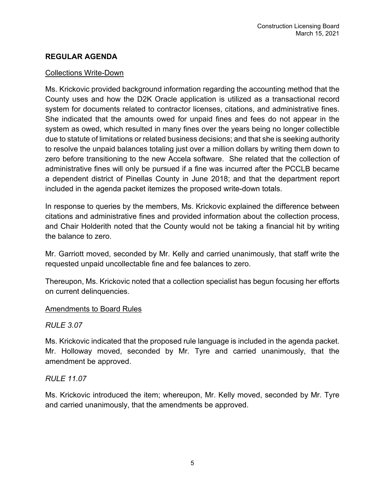# **REGULAR AGENDA**

### Collections Write-Down

Ms. Krickovic provided background information regarding the accounting method that the County uses and how the D2K Oracle application is utilized as a transactional record system for documents related to contractor licenses, citations, and administrative fines. She indicated that the amounts owed for unpaid fines and fees do not appear in the system as owed, which resulted in many fines over the years being no longer collectible due to statute of limitations or related business decisions; and that she is seeking authority to resolve the unpaid balances totaling just over a million dollars by writing them down to zero before transitioning to the new Accela software. She related that the collection of administrative fines will only be pursued if a fine was incurred after the PCCLB became a dependent district of Pinellas County in June 2018; and that the department report included in the agenda packet itemizes the proposed write-down totals.

In response to queries by the members, Ms. Krickovic explained the difference between citations and administrative fines and provided information about the collection process, and Chair Holderith noted that the County would not be taking a financial hit by writing the balance to zero.

Mr. Garriott moved, seconded by Mr. Kelly and carried unanimously, that staff write the requested unpaid uncollectable fine and fee balances to zero.

Thereupon, Ms. Krickovic noted that a collection specialist has begun focusing her efforts on current delinquencies.

#### Amendments to Board Rules

# *RULE 3.07*

Ms. Krickovic indicated that the proposed rule language is included in the agenda packet. Mr. Holloway moved, seconded by Mr. Tyre and carried unanimously, that the amendment be approved.

# *RULE 11.07*

Ms. Krickovic introduced the item; whereupon, Mr. Kelly moved, seconded by Mr. Tyre and carried unanimously, that the amendments be approved.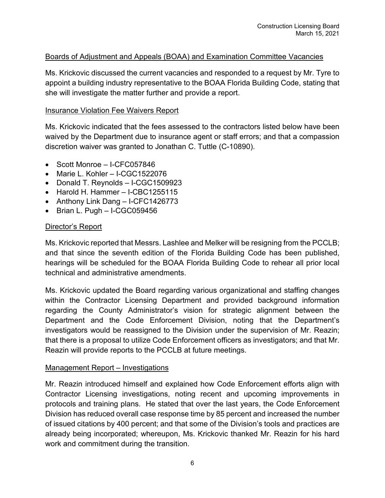# Boards of Adjustment and Appeals (BOAA) and Examination Committee Vacancies

Ms. Krickovic discussed the current vacancies and responded to a request by Mr. Tyre to appoint a building industry representative to the BOAA Florida Building Code, stating that she will investigate the matter further and provide a report.

#### Insurance Violation Fee Waivers Report

Ms. Krickovic indicated that the fees assessed to the contractors listed below have been waived by the Department due to insurance agent or staff errors; and that a compassion discretion waiver was granted to Jonathan C. Tuttle (C-10890).

- Scott Monroe I-CFC057846
- Marie L. Kohler I-CGC1522076
- Donald T. Reynolds I-CGC1509923
- Harold H. Hammer I-CBC1255115
- Anthony Link Dang I-CFC1426773
- Brian L. Pugh I-CGC059456

## Director's Report

Ms. Krickovic reported that Messrs. Lashlee and Melker will be resigning from the PCCLB; and that since the seventh edition of the Florida Building Code has been published, hearings will be scheduled for the BOAA Florida Building Code to rehear all prior local technical and administrative amendments.

Ms. Krickovic updated the Board regarding various organizational and staffing changes within the Contractor Licensing Department and provided background information regarding the County Administrator's vision for strategic alignment between the Department and the Code Enforcement Division, noting that the Department's investigators would be reassigned to the Division under the supervision of Mr. Reazin; that there is a proposal to utilize Code Enforcement officers as investigators; and that Mr. Reazin will provide reports to the PCCLB at future meetings.

#### Management Report – Investigations

Mr. Reazin introduced himself and explained how Code Enforcement efforts align with Contractor Licensing investigations, noting recent and upcoming improvements in protocols and training plans. He stated that over the last years, the Code Enforcement Division has reduced overall case response time by 85 percent and increased the number of issued citations by 400 percent; and that some of the Division's tools and practices are already being incorporated; whereupon, Ms. Krickovic thanked Mr. Reazin for his hard work and commitment during the transition.